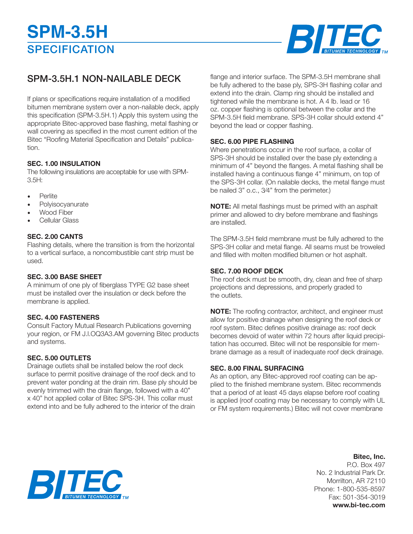

# SPM-3.5H.1 NON-NAILABLE DECK

If plans or specifications require installation of a modified bitumen membrane system over a non-nailable deck, apply this specification (SPM-3.5H.1) Apply this system using the appropriate Bitec-approved base flashing, metal flashing or wall covering as specified in the most current edition of the Bitec "Roofing Material Specification and Details" publication.

# **SEC. 1.00 INSULATION**

The following insulations are acceptable for use with SPM- $3.5H:$ 

- Perlite
- **Polyisocyanurate**
- Wood Fiber
- Cellular Glass

# **SEC. 2.00 CANTS**

Flashing details, where the transition is from the horizontal to a vertical surface, a noncombustible cant strip must be used.

# **SEC. 3.00 BASE SHEET**

A minimum of one ply of fiberglass TYPE G2 base sheet must be installed over the insulation or deck before the membrane is applied.

# **SEC. 4.00 FASTENERS**

Consult Factory Mutual Research Publications governing your region, or FM J.l.OQ3A3.AM governing Bitec products and systems.

# **SEC. 5.00 OUTLETS**

Drainage outlets shall be installed below the roof deck surface to permit positive drainage of the roof deck and to prevent water ponding at the drain rim. Base ply should be evenly trimmed with the drain flange, followed with a 40" x 40" hot applied collar of Bitec SPS-3H. This collar must extend into and be fully adhered to the interior of the drain

flange and interior surface. The SPM-3.5H membrane shall be fully adhered to the base ply, SPS-3H flashing collar and extend into the drain. Clamp ring should be installed and tightened while the membrane is hot. A 4 lb. Iead or 16 oz. copper flashing is optional between the collar and the SPM-3.5H field membrane. SPS-3H collar should extend 4" beyond the lead or copper flashing.

#### **SEC. 6.00 PIPE FLASHING**

Where penetrations occur in the roof surface, a collar of SPS-3H should be installed over the base ply extending a minimum of 4" beyond the flanges. A metal flashing shall be installed having a continuous flange 4" minimum, on top of the SPS-3H collar. (On nailable decks, the metal flange must be nailed 3" o.c., 3⁄4" from the perimeter.)

**NOTE:** All metal flashings must be primed with an asphalt primer and allowed to dry before membrane and flashings are installed.

The SPM-3.5H field membrane must be fully adhered to the SPS-3H collar and metal flange. All seams must be troweled and filled with molten modified bitumen or hot asphalt.

# **SEC. 7.00 ROOF DECK**

The roof deck must be smooth, dry, clean and free of sharp projections and depressions, and properly graded to the outlets.

**NOTE:** The roofing contractor, architect, and engineer must allow for positive drainage when designing the roof deck or roof system. Bitec defines positive drainage as: roof deck becomes devoid of water within 72 hours after liquid precipitation has occurred. Bitec will not be responsible for membrane damage as a result of inadequate roof deck drainage.

# **SEC. 8.00 FINAL SURFACING**

As an option, any Bitec-approved roof coating can be applied to the finished membrane system. Bitec recommends that a period of at least 45 days elapse before roof coating is applied (roof coating may be necessary to comply with UL or FM system requirements.) Bitec will not cover membrane

# **Bitec, Inc.**

P.O. Box 497 No. 2 Industrial Park Dr. Morrilton, AR 72110 Phone: 1-800-535-8597 Fax: 501-354-3019 **www.bi-tec.com**